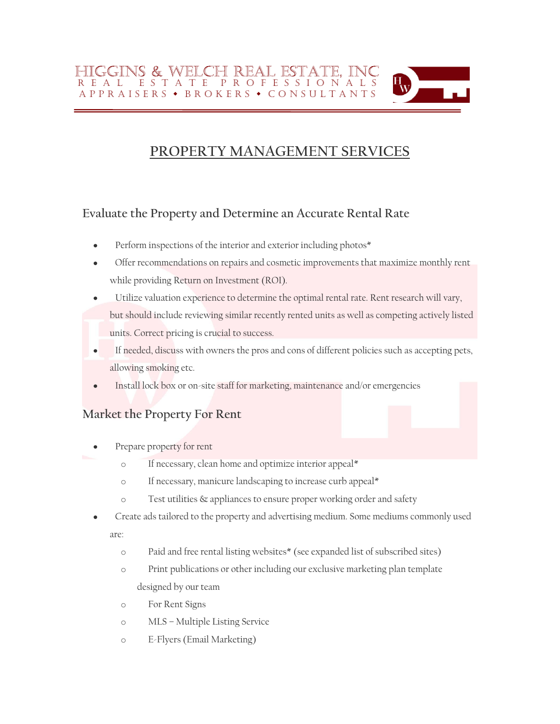# HIGGINS & WELCH REAL ESTATE. INC R E A L E S T A T E P R O F E S S I O N A L S A P P R A I S E R S • B R O K E R S • C O N S U L T A N T S

# **PROPERTY MANAGEMENT SERVICES**

# **Evaluate the Property and Determine an Accurate Rental Rate**

- Perform inspections of the interior and exterior including photos\*
- Offer recommendations on repairs and cosmetic improvements that maximize monthly rent while providing Return on Investment (ROI).
- Utilize valuation experience to determine the optimal rental rate. Rent research will vary, but should include reviewing similar recently rented units as well as competing actively listed units. Correct pricing is crucial to success.
- If needed, discuss with owners the pros and cons of different policies such as accepting pets, allowing smoking etc.
- Install lock box or on-site staff for marketing, maintenance and/or emergencies

# **Market the Property For Rent**

- Prepare property for rent
	- o If necessary, clean home and optimize interior appeal\*
	- o If necessary, manicure landscaping to increase curb appeal\*
	- o Test utilities & appliances to ensure proper working order and safety
- Create ads tailored to the property and advertising medium. Some mediums commonly used  $\bullet$ are:
	- o Paid and free rental listing websites\* (see expanded list of subscribed sites)
	- o Print publications or other including our exclusive marketing plan template designed by our team
	- o For Rent Signs
	- o MLS Multiple Listing Service
	- o E-Flyers (Email Marketing)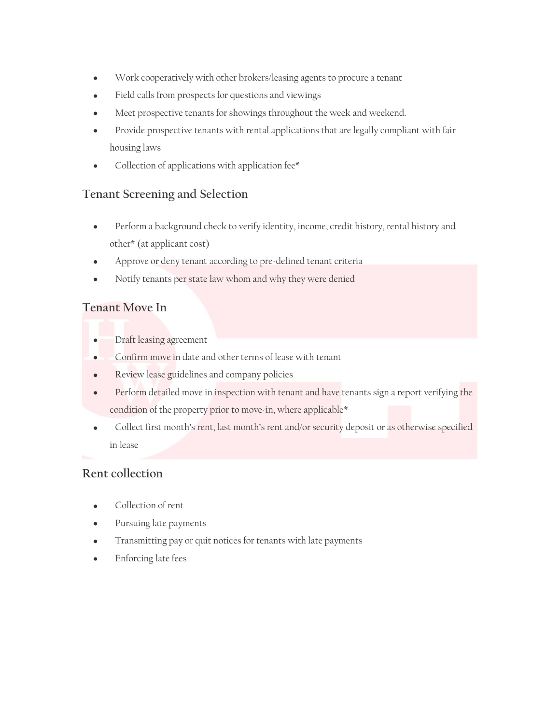- Work cooperatively with other brokers/leasing agents to procure a tenant  $\bullet$
- Field calls from prospects for questions and viewings
- Meet prospective tenants for showings throughout the week and weekend.
- Provide prospective tenants with rental applications that are legally compliant with fair housing laws
- Collection of applications with application fee\*

#### **Tenant Screening and Selection**

- Perform a background check to verify identity, income, credit history, rental history and other\* (at applicant cost)
- Approve or deny tenant according to pre-defined tenant criteria
- Notify tenants per state law whom and why they were denied

#### **Tenant Move In**

- Draft leasing agreement  $\bullet$
- Confirm move in date and other terms of lease with tenant  $\bullet$
- Review lease guidelines and company policies  $\bullet$
- Perform detailed move in inspection with tenant and have tenants sign a report verifying the  $\bullet$ condition of the property prior to move-in, where applicable\*
- Collect first month's rent, last month's rent and/or security deposit or as otherwise specified in lease

#### **Rent collection**

- Collection of rent
- Pursuing late payments
- Transmitting pay or quit notices for tenants with late payments
- Enforcing late fees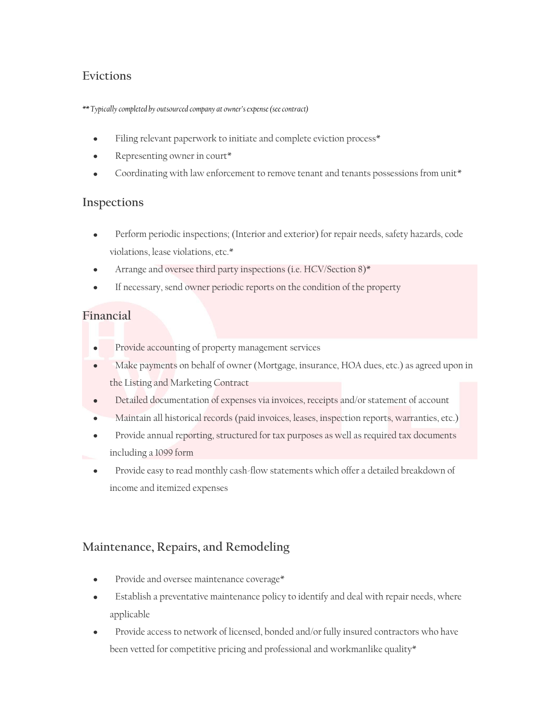# **Evictions**

#### *\*\* Typically completed by outsourced company at owner's expense(see contract)*

- Filing relevant paperwork to initiate and complete eviction process\*
- Representing owner in court\*
- Coordinating with law enforcement to remove tenant and tenants possessions from unit\*

#### **Inspections**

- Perform periodic inspections; (Interior and exterior) for repair needs, safety hazards, code violations, lease violations, etc.\*
- Arrange and oversee third party inspections (i.e. HCV/Section 8)\*
- If necessary, send owner periodic reports on the condition of the property

# **Financial**

- Provide accounting of property management services  $\bullet$
- Make payments on behalf of owner (Mortgage, insurance, HOA dues, etc.) as agreed upon in  $\bullet$ the Listing and Marketing Contract
- Detailed documentation of expenses via invoices, receipts and/or statement of account  $\bullet$
- Maintain all historical records (paid invoices, leases, inspection reports, warranties, etc.)
- Provide annual reporting, structured for tax purposes as well as required tax documents including a 1099 form
- Provide easy to read monthly cash-flow statements which offer a detailed breakdown of income and itemized expenses

# **Maintenance, Repairs, and Remodeling**

- Provide and oversee maintenance coverage\*
- Establish a preventative maintenance policy to identify and deal with repair needs, where applicable
- Provide access to network of licensed, bonded and/or fully insured contractors who have been vetted for competitive pricing and professional and workmanlike quality\*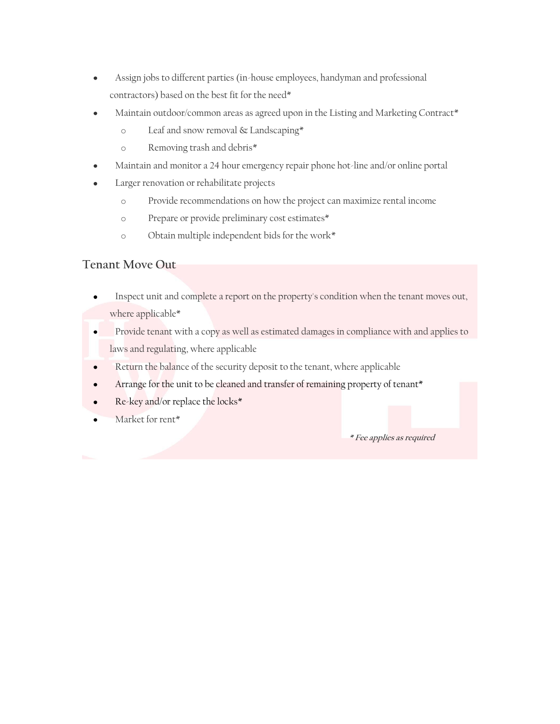- Assign jobs to different parties (in-house employees, handyman and professional  $\bullet$ contractors) based on the best fit for the need\*
- Maintain outdoor/common areas as agreed upon in the Listing and Marketing Contract\*
	- o Leaf and snow removal & Landscaping\*
	- o Removing trash and debris\*
- Maintain and monitor a 24 hour emergency repair phone hot-line and/or online portal
- Larger renovation or rehabilitate projects
	- o Provide recommendations on how the project can maximize rental income
	- o Prepare or provide preliminary cost estimates\*
	- o Obtain multiple independent bids for the work\*

#### **Tenant Move Out**

- Inspect unit and complete a report on the property's condition when the tenant moves out, where applicable\*
- Provide tenant with a copy as well as estimated damages in compliance with and applies to  $\bullet$ laws and regulating, where applicable
- Return the balance of the security deposit to the tenant, where applicable  $\bullet$
- Arrange for the unit to be cleaned and transfer of remaining property of tenant\*  $\bullet$
- Re-key and/or replace the locks\*  $\bullet$
- Market for rent\*

 **\* Fee applies as required**